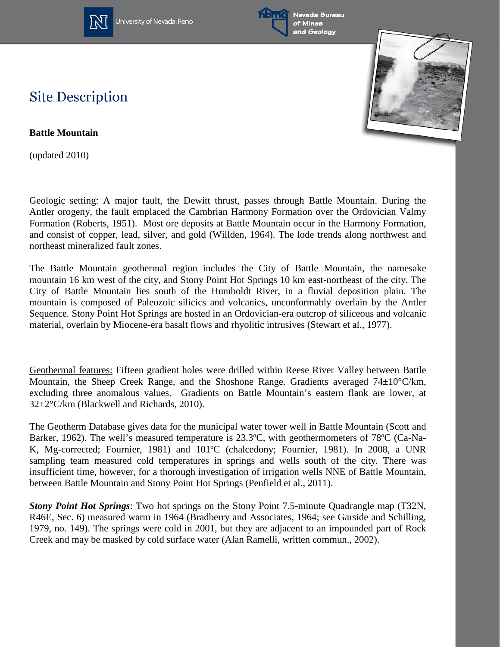

University of Nevada, Reno





## **Site Description**

**Battle Mountain**

(updated 2010)

Geologic setting: A major fault, the Dewitt thrust, passes through Battle Mountain. During the Antler orogeny, the fault emplaced the Cambrian Harmony Formation over the Ordovician Valmy Formation (Roberts, 1951). Most ore deposits at Battle Mountain occur in the Harmony Formation, and consist of copper, lead, silver, and gold (Willden, 1964). The lode trends along northwest and northeast mineralized fault zones.

The Battle Mountain geothermal region includes the City of Battle Mountain, the namesake mountain 16 km west of the city, and Stony Point Hot Springs 10 km east-northeast of the city. The City of Battle Mountain lies south of the Humboldt River, in a fluvial deposition plain. The mountain is composed of Paleozoic silicics and volcanics, unconformably overlain by the Antler Sequence. Stony Point Hot Springs are hosted in an Ordovician-era outcrop of siliceous and volcanic material, overlain by Miocene-era basalt flows and rhyolitic intrusives (Stewart et al., 1977).

Geothermal features: Fifteen gradient holes were drilled within Reese River Valley between Battle Mountain, the Sheep Creek Range, and the Shoshone Range. Gradients averaged 74±10°C/km, excluding three anomalous values. Gradients on Battle Mountain's eastern flank are lower, at 32±2°C/km (Blackwell and Richards, 2010).

The Geotherm Database gives data for the municipal water tower well in Battle Mountain (Scott and Barker, 1962). The well's measured temperature is 23.3ºC, with geothermometers of 78ºC (Ca-Na-K, Mg-corrected; Fournier, 1981) and 101ºC (chalcedony; Fournier, 1981). In 2008, a UNR sampling team measured cold temperatures in springs and wells south of the city. There was insufficient time, however, for a thorough investigation of irrigation wells NNE of Battle Mountain, between Battle Mountain and Stony Point Hot Springs (Penfield et al., 2011).

*Stony Point Hot Springs*: Two hot springs on the Stony Point 7.5-minute Quadrangle map (T32N, R46E, Sec. 6) measured warm in 1964 (Bradberry and Associates, 1964; see Garside and Schilling, 1979, no. 149). The springs were cold in 2001, but they are adjacent to an impounded part of Rock Creek and may be masked by cold surface water (Alan Ramelli, written commun., 2002).